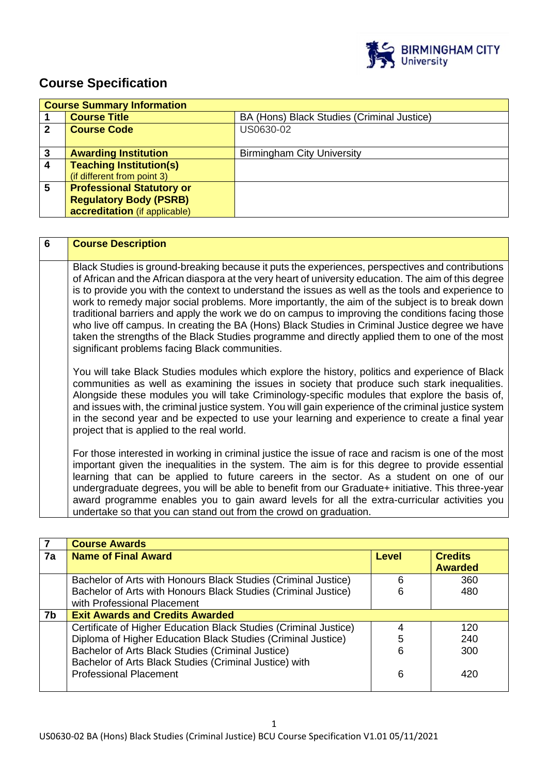

# **Course Specification**

|   | <b>Course Summary Information</b> |                                            |  |  |
|---|-----------------------------------|--------------------------------------------|--|--|
|   | <b>Course Title</b>               | BA (Hons) Black Studies (Criminal Justice) |  |  |
| 2 | <b>Course Code</b>                | US0630-02                                  |  |  |
|   |                                   |                                            |  |  |
| 3 | <b>Awarding Institution</b>       | <b>Birmingham City University</b>          |  |  |
| 4 | <b>Teaching Institution(s)</b>    |                                            |  |  |
|   | (if different from point 3)       |                                            |  |  |
| 5 | <b>Professional Statutory or</b>  |                                            |  |  |
|   | <b>Regulatory Body (PSRB)</b>     |                                            |  |  |
|   | accreditation (if applicable)     |                                            |  |  |

| 6 | <b>Course Description</b>                                                                                                                                                                                                                                                                                                                                                                                                                                                                                                                                                                                                                                                                                                                                                      |
|---|--------------------------------------------------------------------------------------------------------------------------------------------------------------------------------------------------------------------------------------------------------------------------------------------------------------------------------------------------------------------------------------------------------------------------------------------------------------------------------------------------------------------------------------------------------------------------------------------------------------------------------------------------------------------------------------------------------------------------------------------------------------------------------|
|   | Black Studies is ground-breaking because it puts the experiences, perspectives and contributions<br>of African and the African diaspora at the very heart of university education. The aim of this degree<br>is to provide you with the context to understand the issues as well as the tools and experience to<br>work to remedy major social problems. More importantly, the aim of the subject is to break down<br>traditional barriers and apply the work we do on campus to improving the conditions facing those<br>who live off campus. In creating the BA (Hons) Black Studies in Criminal Justice degree we have<br>taken the strengths of the Black Studies programme and directly applied them to one of the most<br>significant problems facing Black communities. |
|   | You will take Black Studies modules which explore the history, politics and experience of Black<br>communities as well as examining the issues in society that produce such stark inequalities.<br>Alongside these modules you will take Criminology-specific modules that explore the basis of,<br>and issues with, the criminal justice system. You will gain experience of the criminal justice system<br>in the second year and be expected to use your learning and experience to create a final year<br>project that is applied to the real world.                                                                                                                                                                                                                       |
|   | For those interested in working in criminal justice the issue of race and racism is one of the most<br>important given the inequalities in the system. The aim is for this degree to provide essential<br>learning that can be applied to future careers in the sector. As a student on one of our<br>undergraduate degrees, you will be able to benefit from our Graduate+ initiative. This three-year<br>award programme enables you to gain award levels for all the extra-curricular activities you<br>undertake so that you can stand out from the crowd on graduation.                                                                                                                                                                                                   |

|    | <b>Course Awards</b>                                             |              |                |
|----|------------------------------------------------------------------|--------------|----------------|
| 7a | <b>Name of Final Award</b>                                       | <b>Level</b> | <b>Credits</b> |
|    |                                                                  |              | <b>Awarded</b> |
|    | Bachelor of Arts with Honours Black Studies (Criminal Justice)   | 6            | 360            |
|    | Bachelor of Arts with Honours Black Studies (Criminal Justice)   | 6            | 480            |
|    | with Professional Placement                                      |              |                |
| 7b | <b>Exit Awards and Credits Awarded</b>                           |              |                |
|    | Certificate of Higher Education Black Studies (Criminal Justice) |              | 120            |
|    | Diploma of Higher Education Black Studies (Criminal Justice)     | 5            | 240            |
|    | Bachelor of Arts Black Studies (Criminal Justice)                | 6            | 300            |
|    | Bachelor of Arts Black Studies (Criminal Justice) with           |              |                |
|    | <b>Professional Placement</b>                                    | 6            | 420            |
|    |                                                                  |              |                |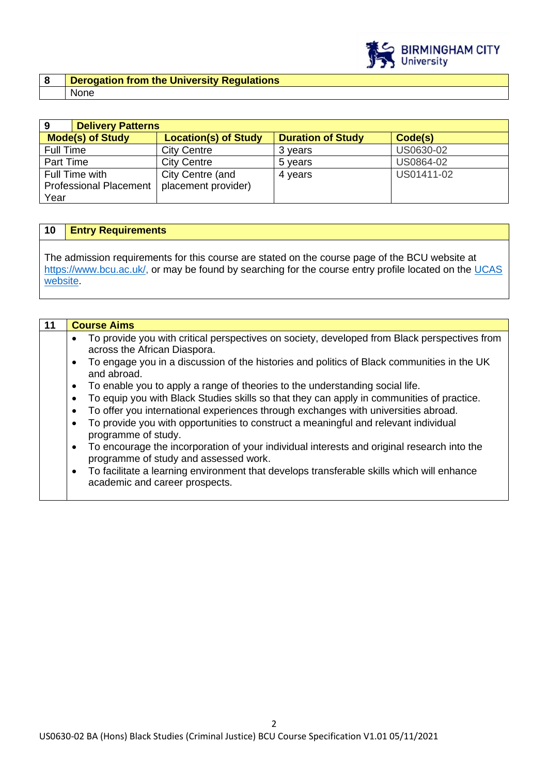

#### **8 Derogation from the University Regulations**  None

| 9                             | <b>Delivery Patterns</b> |                             |                          |            |
|-------------------------------|--------------------------|-----------------------------|--------------------------|------------|
| <b>Mode(s) of Study</b>       |                          | <b>Location(s) of Study</b> | <b>Duration of Study</b> | Code(s)    |
| Full Time                     |                          | <b>City Centre</b>          | 3 years                  | US0630-02  |
| Part Time                     |                          | <b>City Centre</b>          | 5 years                  | US0864-02  |
| Full Time with                |                          | City Centre (and            | 4 years                  | US01411-02 |
| <b>Professional Placement</b> |                          | placement provider)         |                          |            |
| Year                          |                          |                             |                          |            |

## **10 Entry Requirements**

The admission requirements for this course are stated on the course page of the BCU website at [https://www.bcu.ac.uk/,](https://www.bcu.ac.uk/) or may be found by searching for the course entry profile located on the UCAS [website.](https://www.ucas.com/)

| 11 | <b>Course Aims</b>                                                                                                                               |
|----|--------------------------------------------------------------------------------------------------------------------------------------------------|
|    | To provide you with critical perspectives on society, developed from Black perspectives from<br>$\bullet$<br>across the African Diaspora.        |
|    | To engage you in a discussion of the histories and politics of Black communities in the UK<br>$\bullet$<br>and abroad.                           |
|    | To enable you to apply a range of theories to the understanding social life.<br>٠                                                                |
|    | To equip you with Black Studies skills so that they can apply in communities of practice.<br>$\bullet$                                           |
|    | To offer you international experiences through exchanges with universities abroad.<br>٠                                                          |
|    | To provide you with opportunities to construct a meaningful and relevant individual<br>$\bullet$<br>programme of study.                          |
|    | To encourage the incorporation of your individual interests and original research into the<br>$\bullet$<br>programme of study and assessed work. |
|    | To facilitate a learning environment that develops transferable skills which will enhance<br>$\bullet$<br>academic and career prospects.         |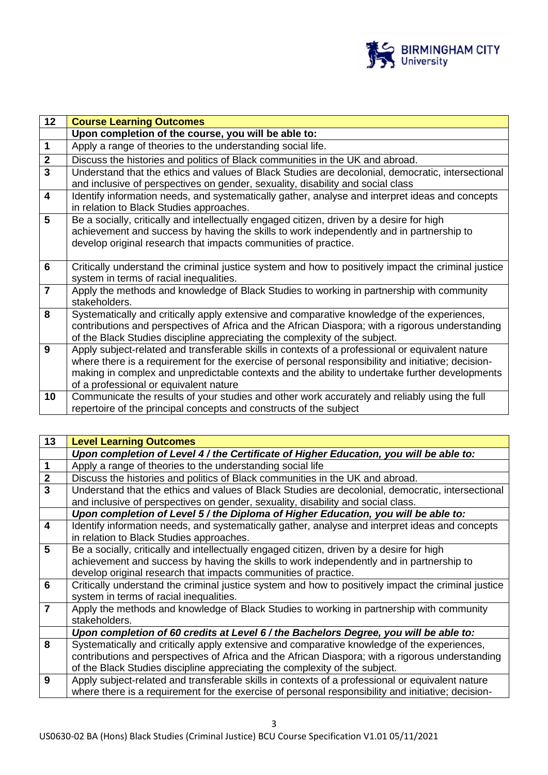

| 12                      | <b>Course Learning Outcomes</b>                                                                                                                                                                                                                                                                                                                    |  |
|-------------------------|----------------------------------------------------------------------------------------------------------------------------------------------------------------------------------------------------------------------------------------------------------------------------------------------------------------------------------------------------|--|
|                         | Upon completion of the course, you will be able to:                                                                                                                                                                                                                                                                                                |  |
| $\mathbf 1$             | Apply a range of theories to the understanding social life.                                                                                                                                                                                                                                                                                        |  |
| $\overline{2}$          | Discuss the histories and politics of Black communities in the UK and abroad.                                                                                                                                                                                                                                                                      |  |
| $\overline{3}$          | Understand that the ethics and values of Black Studies are decolonial, democratic, intersectional<br>and inclusive of perspectives on gender, sexuality, disability and social class                                                                                                                                                               |  |
| $\overline{\mathbf{4}}$ | Identify information needs, and systematically gather, analyse and interpret ideas and concepts<br>in relation to Black Studies approaches.                                                                                                                                                                                                        |  |
| 5                       | Be a socially, critically and intellectually engaged citizen, driven by a desire for high<br>achievement and success by having the skills to work independently and in partnership to<br>develop original research that impacts communities of practice.                                                                                           |  |
| 6                       | Critically understand the criminal justice system and how to positively impact the criminal justice<br>system in terms of racial inequalities.                                                                                                                                                                                                     |  |
| $\overline{7}$          | Apply the methods and knowledge of Black Studies to working in partnership with community<br>stakeholders.                                                                                                                                                                                                                                         |  |
| 8                       | Systematically and critically apply extensive and comparative knowledge of the experiences,<br>contributions and perspectives of Africa and the African Diaspora; with a rigorous understanding<br>of the Black Studies discipline appreciating the complexity of the subject.                                                                     |  |
| 9                       | Apply subject-related and transferable skills in contexts of a professional or equivalent nature<br>where there is a requirement for the exercise of personal responsibility and initiative; decision-<br>making in complex and unpredictable contexts and the ability to undertake further developments<br>of a professional or equivalent nature |  |
| 10                      | Communicate the results of your studies and other work accurately and reliably using the full<br>repertoire of the principal concepts and constructs of the subject                                                                                                                                                                                |  |

| 13                      | <b>Level Learning Outcomes</b>                                                                      |
|-------------------------|-----------------------------------------------------------------------------------------------------|
|                         | Upon completion of Level 4/ the Certificate of Higher Education, you will be able to:               |
| $\mathbf 1$             | Apply a range of theories to the understanding social life                                          |
| $\mathbf{2}$            | Discuss the histories and politics of Black communities in the UK and abroad.                       |
| $\overline{3}$          | Understand that the ethics and values of Black Studies are decolonial, democratic, intersectional   |
|                         | and inclusive of perspectives on gender, sexuality, disability and social class.                    |
|                         | Upon completion of Level 5 / the Diploma of Higher Education, you will be able to:                  |
| $\overline{\mathbf{4}}$ | Identify information needs, and systematically gather, analyse and interpret ideas and concepts     |
|                         | in relation to Black Studies approaches.                                                            |
| 5                       | Be a socially, critically and intellectually engaged citizen, driven by a desire for high           |
|                         | achievement and success by having the skills to work independently and in partnership to            |
|                         | develop original research that impacts communities of practice.                                     |
| 6                       | Critically understand the criminal justice system and how to positively impact the criminal justice |
|                         | system in terms of racial inequalities.                                                             |
| $\overline{7}$          | Apply the methods and knowledge of Black Studies to working in partnership with community           |
|                         | stakeholders.                                                                                       |
|                         | Upon completion of 60 credits at Level 6 / the Bachelors Degree, you will be able to:               |
| 8                       | Systematically and critically apply extensive and comparative knowledge of the experiences,         |
|                         | contributions and perspectives of Africa and the African Diaspora; with a rigorous understanding    |
|                         | of the Black Studies discipline appreciating the complexity of the subject.                         |
| 9                       | Apply subject-related and transferable skills in contexts of a professional or equivalent nature    |
|                         | where there is a requirement for the exercise of personal responsibility and initiative; decision-  |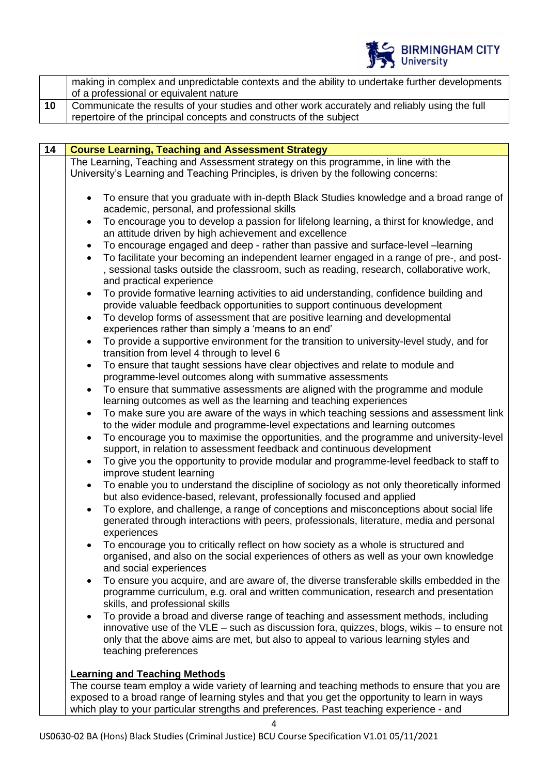

|    | making in complex and unpredictable contexts and the ability to undertake further developments |
|----|------------------------------------------------------------------------------------------------|
|    | of a professional or equivalent nature                                                         |
| 10 | Communicate the results of your studies and other work accurately and reliably using the full  |
|    | repertoire of the principal concepts and constructs of the subject                             |

| 14 | <b>Course Learning, Teaching and Assessment Strategy</b>                                                                                                                                                                                                                                                       |
|----|----------------------------------------------------------------------------------------------------------------------------------------------------------------------------------------------------------------------------------------------------------------------------------------------------------------|
|    | The Learning, Teaching and Assessment strategy on this programme, in line with the                                                                                                                                                                                                                             |
|    | University's Learning and Teaching Principles, is driven by the following concerns:                                                                                                                                                                                                                            |
|    | To ensure that you graduate with in-depth Black Studies knowledge and a broad range of<br>academic, personal, and professional skills                                                                                                                                                                          |
|    | To encourage you to develop a passion for lifelong learning, a thirst for knowledge, and<br>$\bullet$<br>an attitude driven by high achievement and excellence                                                                                                                                                 |
|    | To encourage engaged and deep - rather than passive and surface-level -learning<br>$\bullet$                                                                                                                                                                                                                   |
|    | To facilitate your becoming an independent learner engaged in a range of pre-, and post-<br>$\bullet$<br>, sessional tasks outside the classroom, such as reading, research, collaborative work,<br>and practical experience                                                                                   |
|    | To provide formative learning activities to aid understanding, confidence building and<br>$\bullet$<br>provide valuable feedback opportunities to support continuous development                                                                                                                               |
|    | To develop forms of assessment that are positive learning and developmental<br>experiences rather than simply a 'means to an end'                                                                                                                                                                              |
|    | To provide a supportive environment for the transition to university-level study, and for<br>transition from level 4 through to level 6                                                                                                                                                                        |
|    | To ensure that taught sessions have clear objectives and relate to module and<br>$\bullet$                                                                                                                                                                                                                     |
|    | programme-level outcomes along with summative assessments                                                                                                                                                                                                                                                      |
|    | To ensure that summative assessments are aligned with the programme and module<br>$\bullet$<br>learning outcomes as well as the learning and teaching experiences                                                                                                                                              |
|    | To make sure you are aware of the ways in which teaching sessions and assessment link<br>$\bullet$<br>to the wider module and programme-level expectations and learning outcomes                                                                                                                               |
|    | To encourage you to maximise the opportunities, and the programme and university-level<br>support, in relation to assessment feedback and continuous development                                                                                                                                               |
|    | To give you the opportunity to provide modular and programme-level feedback to staff to<br>$\bullet$<br>improve student learning                                                                                                                                                                               |
|    | To enable you to understand the discipline of sociology as not only theoretically informed<br>but also evidence-based, relevant, professionally focused and applied                                                                                                                                            |
|    | To explore, and challenge, a range of conceptions and misconceptions about social life<br>generated through interactions with peers, professionals, literature, media and personal<br>experiences                                                                                                              |
|    | To encourage you to critically reflect on how society as a whole is structured and<br>organised, and also on the social experiences of others as well as your own knowledge<br>and social experiences                                                                                                          |
|    | To ensure you acquire, and are aware of, the diverse transferable skills embedded in the<br>$\bullet$<br>programme curriculum, e.g. oral and written communication, research and presentation<br>skills, and professional skills                                                                               |
|    | To provide a broad and diverse range of teaching and assessment methods, including<br>$\bullet$<br>innovative use of the $VLE$ – such as discussion fora, quizzes, blogs, wikis – to ensure not<br>only that the above aims are met, but also to appeal to various learning styles and<br>teaching preferences |
|    |                                                                                                                                                                                                                                                                                                                |
|    | <b>Learning and Teaching Methods</b><br>The course team employ a wide variety of learning and teaching methods to ensure that you are                                                                                                                                                                          |
|    | exposed to a broad range of learning styles and that you get the opportunity to learn in ways<br>which play to your particular strengths and preferences. Past teaching experience - and                                                                                                                       |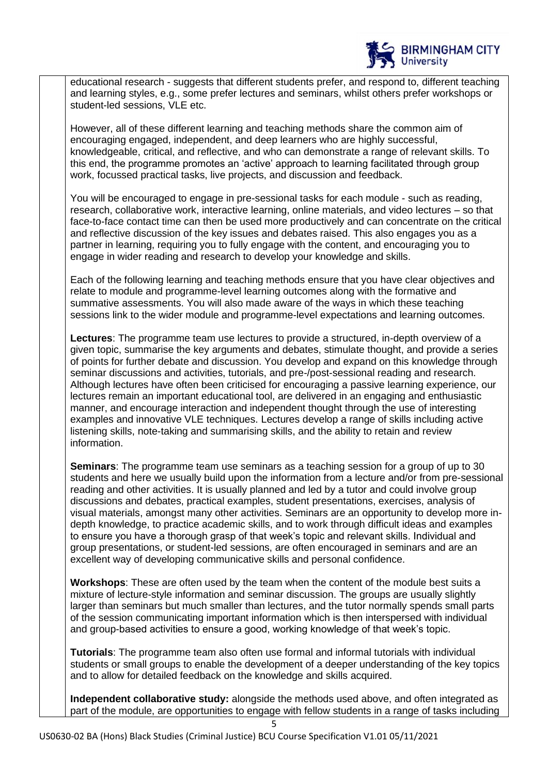

educational research - suggests that different students prefer, and respond to, different teaching and learning styles, e.g., some prefer lectures and seminars, whilst others prefer workshops or student-led sessions, VLE etc.

However, all of these different learning and teaching methods share the common aim of encouraging engaged, independent, and deep learners who are highly successful, knowledgeable, critical, and reflective, and who can demonstrate a range of relevant skills. To this end, the programme promotes an 'active' approach to learning facilitated through group work, focussed practical tasks, live projects, and discussion and feedback.

You will be encouraged to engage in pre-sessional tasks for each module - such as reading, research, collaborative work, interactive learning, online materials, and video lectures – so that face-to-face contact time can then be used more productively and can concentrate on the critical and reflective discussion of the key issues and debates raised. This also engages you as a partner in learning, requiring you to fully engage with the content, and encouraging you to engage in wider reading and research to develop your knowledge and skills.

Each of the following learning and teaching methods ensure that you have clear objectives and relate to module and programme-level learning outcomes along with the formative and summative assessments. You will also made aware of the ways in which these teaching sessions link to the wider module and programme-level expectations and learning outcomes.

**Lectures**: The programme team use lectures to provide a structured, in-depth overview of a given topic, summarise the key arguments and debates, stimulate thought, and provide a series of points for further debate and discussion. You develop and expand on this knowledge through seminar discussions and activities, tutorials, and pre-/post-sessional reading and research. Although lectures have often been criticised for encouraging a passive learning experience, our lectures remain an important educational tool, are delivered in an engaging and enthusiastic manner, and encourage interaction and independent thought through the use of interesting examples and innovative VLE techniques. Lectures develop a range of skills including active listening skills, note-taking and summarising skills, and the ability to retain and review information.

**Seminars**: The programme team use seminars as a teaching session for a group of up to 30 students and here we usually build upon the information from a lecture and/or from pre-sessional reading and other activities. It is usually planned and led by a tutor and could involve group discussions and debates, practical examples, student presentations, exercises, analysis of visual materials, amongst many other activities. Seminars are an opportunity to develop more indepth knowledge, to practice academic skills, and to work through difficult ideas and examples to ensure you have a thorough grasp of that week's topic and relevant skills. Individual and group presentations, or student-led sessions, are often encouraged in seminars and are an excellent way of developing communicative skills and personal confidence.

**Workshops**: These are often used by the team when the content of the module best suits a mixture of lecture-style information and seminar discussion. The groups are usually slightly larger than seminars but much smaller than lectures, and the tutor normally spends small parts of the session communicating important information which is then interspersed with individual and group-based activities to ensure a good, working knowledge of that week's topic.

**Tutorials**: The programme team also often use formal and informal tutorials with individual students or small groups to enable the development of a deeper understanding of the key topics and to allow for detailed feedback on the knowledge and skills acquired.

**Independent collaborative study:** alongside the methods used above, and often integrated as part of the module, are opportunities to engage with fellow students in a range of tasks including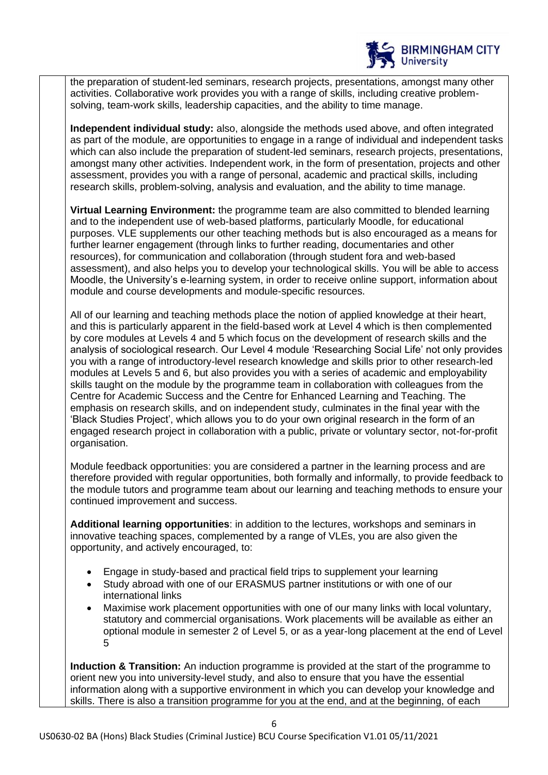

the preparation of student-led seminars, research projects, presentations, amongst many other activities. Collaborative work provides you with a range of skills, including creative problemsolving, team-work skills, leadership capacities, and the ability to time manage.

**Independent individual study:** also, alongside the methods used above, and often integrated as part of the module, are opportunities to engage in a range of individual and independent tasks which can also include the preparation of student-led seminars, research projects, presentations, amongst many other activities. Independent work, in the form of presentation, projects and other assessment, provides you with a range of personal, academic and practical skills, including research skills, problem-solving, analysis and evaluation, and the ability to time manage.

**Virtual Learning Environment:** the programme team are also committed to blended learning and to the independent use of web-based platforms, particularly Moodle, for educational purposes. VLE supplements our other teaching methods but is also encouraged as a means for further learner engagement (through links to further reading, documentaries and other resources), for communication and collaboration (through student fora and web-based assessment), and also helps you to develop your technological skills. You will be able to access Moodle, the University's e-learning system, in order to receive online support, information about module and course developments and module-specific resources.

All of our learning and teaching methods place the notion of applied knowledge at their heart, and this is particularly apparent in the field-based work at Level 4 which is then complemented by core modules at Levels 4 and 5 which focus on the development of research skills and the analysis of sociological research. Our Level 4 module 'Researching Social Life' not only provides you with a range of introductory-level research knowledge and skills prior to other research-led modules at Levels 5 and 6, but also provides you with a series of academic and employability skills taught on the module by the programme team in collaboration with colleagues from the Centre for Academic Success and the Centre for Enhanced Learning and Teaching. The emphasis on research skills, and on independent study, culminates in the final year with the 'Black Studies Project', which allows you to do your own original research in the form of an engaged research project in collaboration with a public, private or voluntary sector, not-for-profit organisation.

Module feedback opportunities: you are considered a partner in the learning process and are therefore provided with regular opportunities, both formally and informally, to provide feedback to the module tutors and programme team about our learning and teaching methods to ensure your continued improvement and success.

**Additional learning opportunities**: in addition to the lectures, workshops and seminars in innovative teaching spaces, complemented by a range of VLEs, you are also given the opportunity, and actively encouraged, to:

- Engage in study-based and practical field trips to supplement your learning
- Study abroad with one of our ERASMUS partner institutions or with one of our international links
- Maximise work placement opportunities with one of our many links with local voluntary, statutory and commercial organisations. Work placements will be available as either an optional module in semester 2 of Level 5, or as a year-long placement at the end of Level 5

**Induction & Transition:** An induction programme is provided at the start of the programme to orient new you into university-level study, and also to ensure that you have the essential information along with a supportive environment in which you can develop your knowledge and skills. There is also a transition programme for you at the end, and at the beginning, of each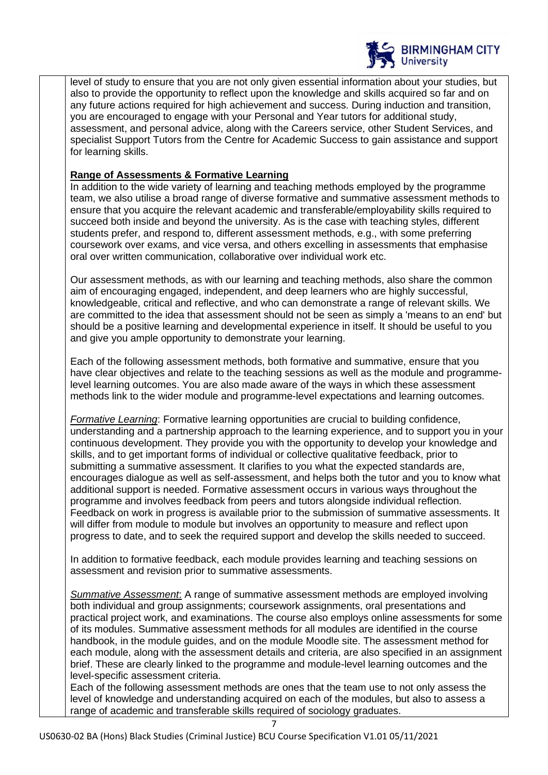

level of study to ensure that you are not only given essential information about your studies, but also to provide the opportunity to reflect upon the knowledge and skills acquired so far and on any future actions required for high achievement and success. During induction and transition, you are encouraged to engage with your Personal and Year tutors for additional study, assessment, and personal advice, along with the Careers service, other Student Services, and specialist Support Tutors from the Centre for Academic Success to gain assistance and support for learning skills.

## **Range of Assessments & Formative Learning**

In addition to the wide variety of learning and teaching methods employed by the programme team, we also utilise a broad range of diverse formative and summative assessment methods to ensure that you acquire the relevant academic and transferable/employability skills required to succeed both inside and beyond the university. As is the case with teaching styles, different students prefer, and respond to, different assessment methods, e.g., with some preferring coursework over exams, and vice versa, and others excelling in assessments that emphasise oral over written communication, collaborative over individual work etc.

Our assessment methods, as with our learning and teaching methods, also share the common aim of encouraging engaged, independent, and deep learners who are highly successful, knowledgeable, critical and reflective, and who can demonstrate a range of relevant skills. We are committed to the idea that assessment should not be seen as simply a 'means to an end' but should be a positive learning and developmental experience in itself. It should be useful to you and give you ample opportunity to demonstrate your learning.

Each of the following assessment methods, both formative and summative, ensure that you have clear objectives and relate to the teaching sessions as well as the module and programmelevel learning outcomes. You are also made aware of the ways in which these assessment methods link to the wider module and programme-level expectations and learning outcomes.

*Formative Learning*: Formative learning opportunities are crucial to building confidence, understanding and a partnership approach to the learning experience, and to support you in your continuous development. They provide you with the opportunity to develop your knowledge and skills, and to get important forms of individual or collective qualitative feedback, prior to submitting a summative assessment. It clarifies to you what the expected standards are, encourages dialogue as well as self-assessment, and helps both the tutor and you to know what additional support is needed. Formative assessment occurs in various ways throughout the programme and involves feedback from peers and tutors alongside individual reflection. Feedback on work in progress is available prior to the submission of summative assessments. It will differ from module to module but involves an opportunity to measure and reflect upon progress to date, and to seek the required support and develop the skills needed to succeed.

In addition to formative feedback, each module provides learning and teaching sessions on assessment and revision prior to summative assessments.

*Summative Assessment*: A range of summative assessment methods are employed involving both individual and group assignments; coursework assignments, oral presentations and practical project work, and examinations. The course also employs online assessments for some of its modules. Summative assessment methods for all modules are identified in the course handbook, in the module guides, and on the module Moodle site. The assessment method for each module, along with the assessment details and criteria, are also specified in an assignment brief. These are clearly linked to the programme and module-level learning outcomes and the level-specific assessment criteria.

Each of the following assessment methods are ones that the team use to not only assess the level of knowledge and understanding acquired on each of the modules, but also to assess a range of academic and transferable skills required of sociology graduates.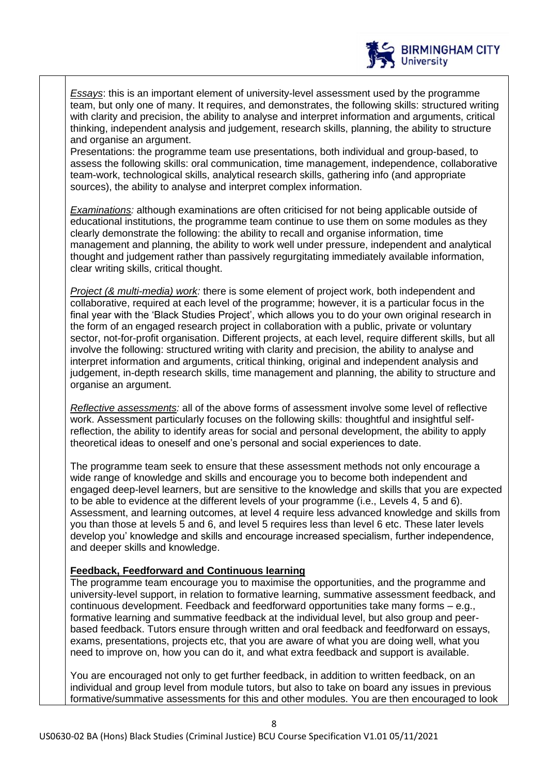

*Essays*: this is an important element of university-level assessment used by the programme team, but only one of many. It requires, and demonstrates, the following skills: structured writing with clarity and precision, the ability to analyse and interpret information and arguments, critical thinking, independent analysis and judgement, research skills, planning, the ability to structure and organise an argument.

Presentations: the programme team use presentations, both individual and group-based, to assess the following skills: oral communication, time management, independence, collaborative team-work, technological skills, analytical research skills, gathering info (and appropriate sources), the ability to analyse and interpret complex information.

*Examinations:* although examinations are often criticised for not being applicable outside of educational institutions, the programme team continue to use them on some modules as they clearly demonstrate the following: the ability to recall and organise information, time management and planning, the ability to work well under pressure, independent and analytical thought and judgement rather than passively regurgitating immediately available information, clear writing skills, critical thought.

*Project (& multi-media) work:* there is some element of project work, both independent and collaborative, required at each level of the programme; however, it is a particular focus in the final year with the 'Black Studies Project', which allows you to do your own original research in the form of an engaged research project in collaboration with a public, private or voluntary sector, not-for-profit organisation. Different projects, at each level, require different skills, but all involve the following: structured writing with clarity and precision, the ability to analyse and interpret information and arguments, critical thinking, original and independent analysis and judgement, in-depth research skills, time management and planning, the ability to structure and organise an argument.

*Reflective assessments:* all of the above forms of assessment involve some level of reflective work. Assessment particularly focuses on the following skills: thoughtful and insightful selfreflection, the ability to identify areas for social and personal development, the ability to apply theoretical ideas to oneself and one's personal and social experiences to date.

The programme team seek to ensure that these assessment methods not only encourage a wide range of knowledge and skills and encourage you to become both independent and engaged deep-level learners, but are sensitive to the knowledge and skills that you are expected to be able to evidence at the different levels of your programme (i.e., Levels 4, 5 and 6). Assessment, and learning outcomes, at level 4 require less advanced knowledge and skills from you than those at levels 5 and 6, and level 5 requires less than level 6 etc. These later levels develop you' knowledge and skills and encourage increased specialism, further independence, and deeper skills and knowledge.

## **Feedback, Feedforward and Continuous learning**

The programme team encourage you to maximise the opportunities, and the programme and university-level support, in relation to formative learning, summative assessment feedback, and continuous development. Feedback and feedforward opportunities take many forms – e.g., formative learning and summative feedback at the individual level, but also group and peerbased feedback. Tutors ensure through written and oral feedback and feedforward on essays, exams, presentations, projects etc, that you are aware of what you are doing well, what you need to improve on, how you can do it, and what extra feedback and support is available.

You are encouraged not only to get further feedback, in addition to written feedback, on an individual and group level from module tutors, but also to take on board any issues in previous formative/summative assessments for this and other modules. You are then encouraged to look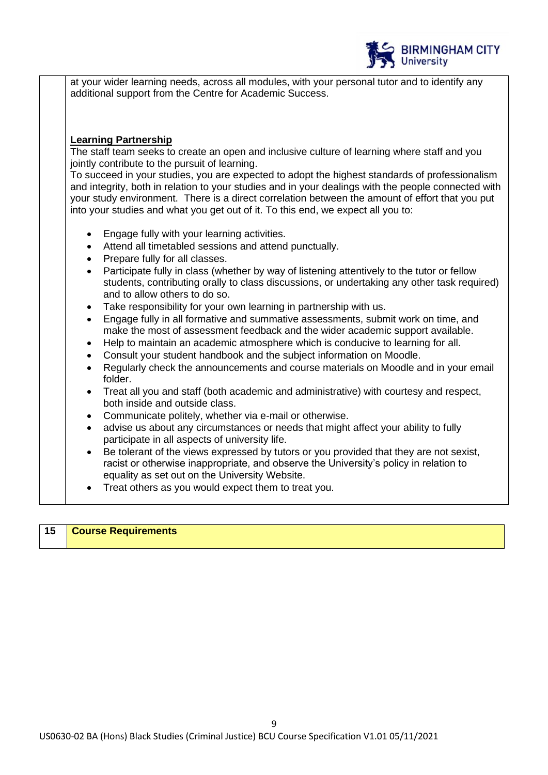

at your wider learning needs, across all modules, with your personal tutor and to identify any additional support from the Centre for Academic Success.

#### **Learning Partnership**

The staff team seeks to create an open and inclusive culture of learning where staff and you jointly contribute to the pursuit of learning.

To succeed in your studies, you are expected to adopt the highest standards of professionalism and integrity, both in relation to your studies and in your dealings with the people connected with your study environment. There is a direct correlation between the amount of effort that you put into your studies and what you get out of it. To this end, we expect all you to:

- Engage fully with your learning activities.
- Attend all timetabled sessions and attend punctually.
- Prepare fully for all classes.
- Participate fully in class (whether by way of listening attentively to the tutor or fellow students, contributing orally to class discussions, or undertaking any other task required) and to allow others to do so.
- Take responsibility for your own learning in partnership with us.
- Engage fully in all formative and summative assessments, submit work on time, and make the most of assessment feedback and the wider academic support available.
- Help to maintain an academic atmosphere which is conducive to learning for all.
- Consult your student handbook and the subject information on Moodle.
- Regularly check the announcements and course materials on Moodle and in your email folder.
- Treat all you and staff (both academic and administrative) with courtesy and respect, both inside and outside class.
- Communicate politely, whether via e-mail or otherwise.
- advise us about any circumstances or needs that might affect your ability to fully participate in all aspects of university life.
- Be tolerant of the views expressed by tutors or you provided that they are not sexist, racist or otherwise inappropriate, and observe the University's policy in relation to equality as set out on the University Website.
- Treat others as you would expect them to treat you.

## **15 Course Requirements**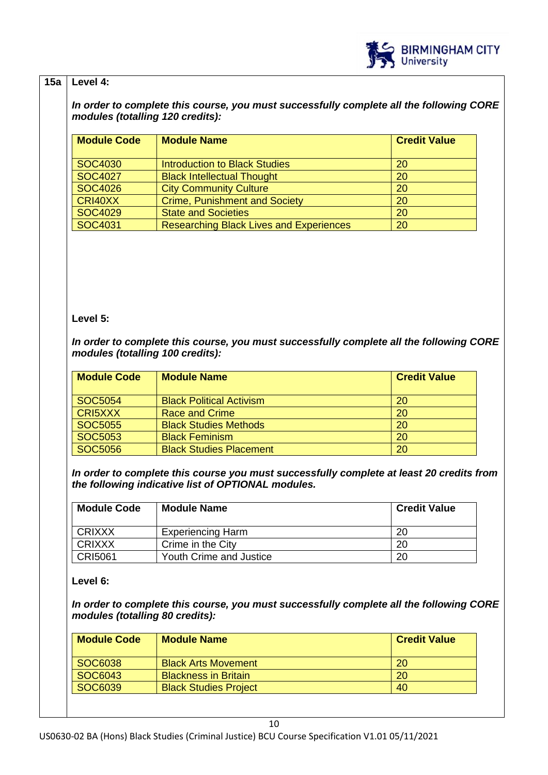

## **15a Level 4:**

*In order to complete this course, you must successfully complete all the following CORE modules (totalling 120 credits):*

| <b>Module Code</b> | <b>Module Name</b>                             | <b>Credit Value</b> |
|--------------------|------------------------------------------------|---------------------|
| SOC4030            | <b>Introduction to Black Studies</b>           | 20                  |
| SOC4027            | <b>Black Intellectual Thought</b>              | 20                  |
| SOC4026            | <b>City Community Culture</b>                  | 20                  |
| CRI40XX            | <b>Crime, Punishment and Society</b>           | 20                  |
| <b>SOC4029</b>     | <b>State and Societies</b>                     | 20                  |
| SOC4031            | <b>Researching Black Lives and Experiences</b> | 20                  |

## **Level 5:**

*In order to complete this course, you must successfully complete all the following CORE modules (totalling 100 credits):*

| <b>Module Code</b> | <b>Module Name</b>              | <b>Credit Value</b> |
|--------------------|---------------------------------|---------------------|
| SOC5054            | <b>Black Political Activism</b> | 20                  |
| CRI5XXX            | <b>Race and Crime</b>           | 20                  |
| <b>SOC5055</b>     | <b>Black Studies Methods</b>    | 20                  |
| SOC5053            | <b>Black Feminism</b>           | <b>20</b>           |
| SOC5056            | <b>Black Studies Placement</b>  | 20                  |

*In order to complete this course you must successfully complete at least 20 credits from the following indicative list of OPTIONAL modules.* 

| <b>Module Code</b> | <b>Module Name</b>       | <b>Credit Value</b> |
|--------------------|--------------------------|---------------------|
| CRIXXX             | <b>Experiencing Harm</b> | 20                  |
| <b>CRIXXX</b>      | Crime in the City        | 20                  |
| <b>CRI5061</b>     | Youth Crime and Justice  | 20                  |

**Level 6:**

*In order to complete this course, you must successfully complete all the following CORE modules (totalling 80 credits):*

| <b>Module Code</b> | <b>Module Name</b>           | <b>Credit Value</b> |
|--------------------|------------------------------|---------------------|
| SOC6038            | <b>Black Arts Movement</b>   | <b>20</b>           |
| SOC6043            | <b>Blackness in Britain</b>  | <b>20</b>           |
| SOC6039            | <b>Black Studies Project</b> | 40                  |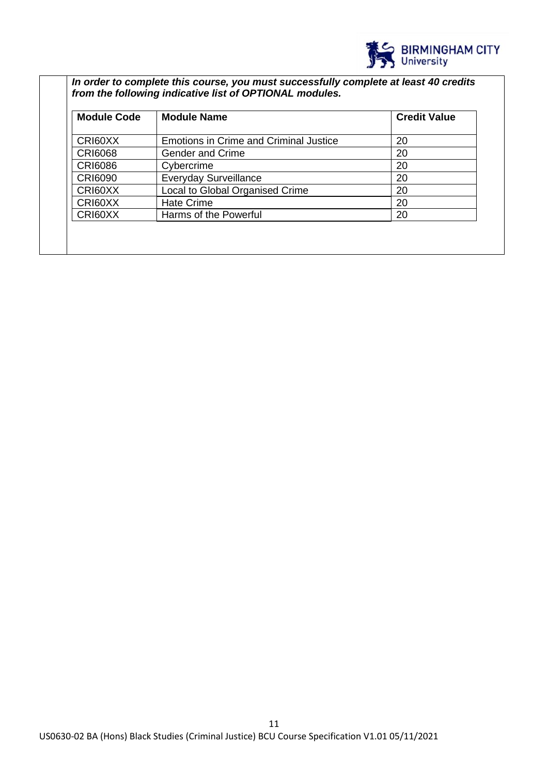

*In order to complete this course, you must successfully complete at least 40 credits from the following indicative list of OPTIONAL modules.* 

| <b>Module Code</b><br><b>Module Name</b> |                                               | <b>Credit Value</b> |  |
|------------------------------------------|-----------------------------------------------|---------------------|--|
| CRI60XX                                  | <b>Emotions in Crime and Criminal Justice</b> | 20                  |  |
| <b>CRI6068</b>                           | <b>Gender and Crime</b>                       | 20                  |  |
| <b>CRI6086</b>                           | Cybercrime                                    | 20                  |  |
| <b>CRI6090</b>                           | <b>Everyday Surveillance</b>                  | 20                  |  |
| CRI60XX                                  | Local to Global Organised Crime               | 20                  |  |
| CRI60XX                                  | <b>Hate Crime</b>                             | 20                  |  |
| CRI60XX                                  | Harms of the Powerful                         | 20                  |  |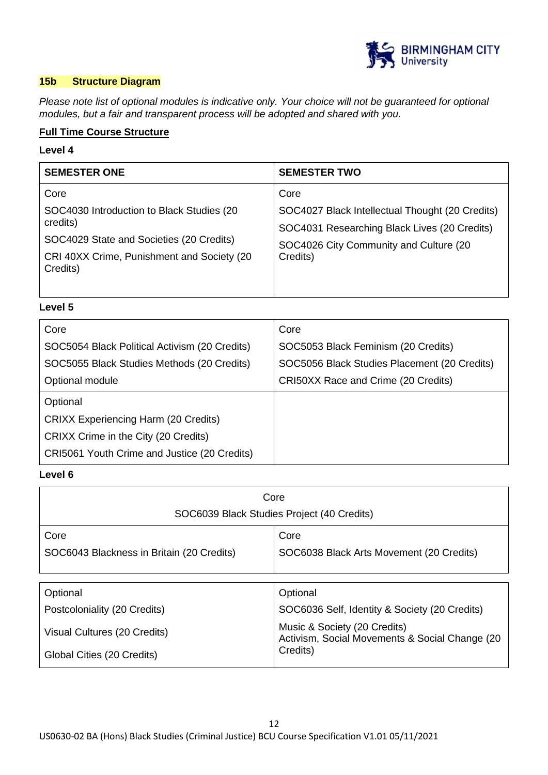

## **15b Structure Diagram**

*Please note list of optional modules is indicative only. Your choice will not be guaranteed for optional modules, but a fair and transparent process will be adopted and shared with you.*

## **Full Time Course Structure**

## **Level 4**

| <b>SEMESTER ONE</b>                                                                                                                                         | <b>SEMESTER TWO</b>                                |
|-------------------------------------------------------------------------------------------------------------------------------------------------------------|----------------------------------------------------|
| Core                                                                                                                                                        | Core                                               |
| SOC4030 Introduction to Black Studies (20<br>credits)<br>SOC4029 State and Societies (20 Credits)<br>CRI 40XX Crime, Punishment and Society (20<br>Credits) | SOC4027 Black Intellectual Thought (20 Credits)    |
|                                                                                                                                                             | SOC4031 Researching Black Lives (20 Credits)       |
|                                                                                                                                                             | SOC4026 City Community and Culture (20<br>Credits) |
|                                                                                                                                                             |                                                    |

**Level 5**

| Core                                          | Core                                         |
|-----------------------------------------------|----------------------------------------------|
| SOC5054 Black Political Activism (20 Credits) | SOC5053 Black Feminism (20 Credits)          |
| SOC5055 Black Studies Methods (20 Credits)    | SOC5056 Black Studies Placement (20 Credits) |
| Optional module                               | CRI50XX Race and Crime (20 Credits)          |
| Optional                                      |                                              |
| <b>CRIXX Experiencing Harm (20 Credits)</b>   |                                              |
| CRIXX Crime in the City (20 Credits)          |                                              |
| CRI5061 Youth Crime and Justice (20 Credits)  |                                              |

## **Level 6**

| Core                                       |                                                                                 |  |
|--------------------------------------------|---------------------------------------------------------------------------------|--|
| SOC6039 Black Studies Project (40 Credits) |                                                                                 |  |
| Core                                       | Core                                                                            |  |
| SOC6043 Blackness in Britain (20 Credits)  | SOC6038 Black Arts Movement (20 Credits)                                        |  |
|                                            |                                                                                 |  |
| Optional                                   | Optional                                                                        |  |
| Postcoloniality (20 Credits)               | SOC6036 Self, Identity & Society (20 Credits)                                   |  |
| Visual Cultures (20 Credits)               | Music & Society (20 Credits)<br>Activism, Social Movements & Social Change (20) |  |
| Global Cities (20 Credits)                 | Credits)                                                                        |  |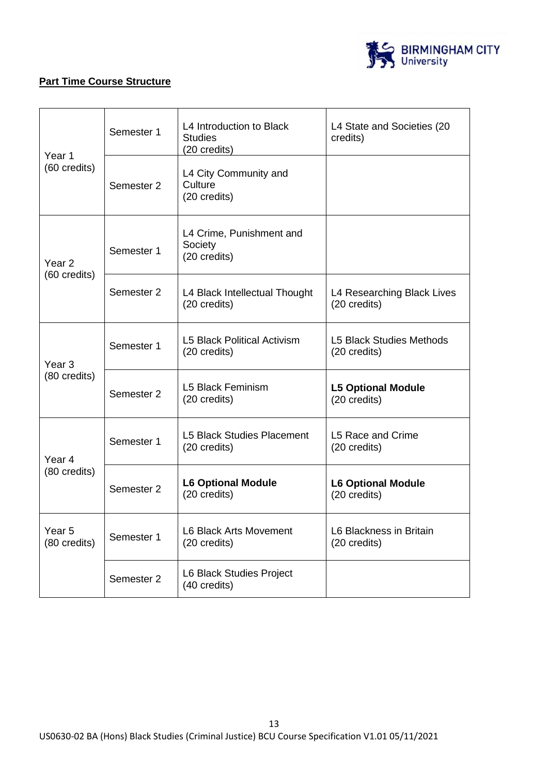

## **Part Time Course Structure**

| Semester 1<br>Year 1              |                                                                | L4 Introduction to Black<br><b>Studies</b><br>(20 credits) | L4 State and Societies (20<br>credits)          |
|-----------------------------------|----------------------------------------------------------------|------------------------------------------------------------|-------------------------------------------------|
| (60 credits)                      | L4 City Community and<br>Culture<br>Semester 2<br>(20 credits) |                                                            |                                                 |
| Year <sub>2</sub>                 | Semester 1                                                     | L4 Crime, Punishment and<br>Society<br>(20 credits)        |                                                 |
| (60 credits)                      | Semester 2                                                     | L4 Black Intellectual Thought<br>(20 credits)              | L4 Researching Black Lives<br>(20 credits)      |
| Year 3                            | Semester 1                                                     | <b>L5 Black Political Activism</b><br>(20 credits)         | <b>L5 Black Studies Methods</b><br>(20 credits) |
| (80 credits)                      | Semester 2                                                     | <b>L5 Black Feminism</b><br>(20 credits)                   | <b>L5 Optional Module</b><br>(20 credits)       |
| Year <sub>4</sub>                 | Semester 1                                                     | <b>L5 Black Studies Placement</b><br>(20 credits)          | L5 Race and Crime<br>(20 credits)               |
| (80 credits)                      | Semester 2                                                     | <b>L6 Optional Module</b><br>(20 credits)                  | <b>L6 Optional Module</b><br>(20 credits)       |
| Year <sub>5</sub><br>(80 credits) | Semester 1                                                     | L6 Black Arts Movement<br>(20 credits)                     | L6 Blackness in Britain<br>(20 credits)         |
|                                   | Semester 2                                                     | L6 Black Studies Project<br>(40 credits)                   |                                                 |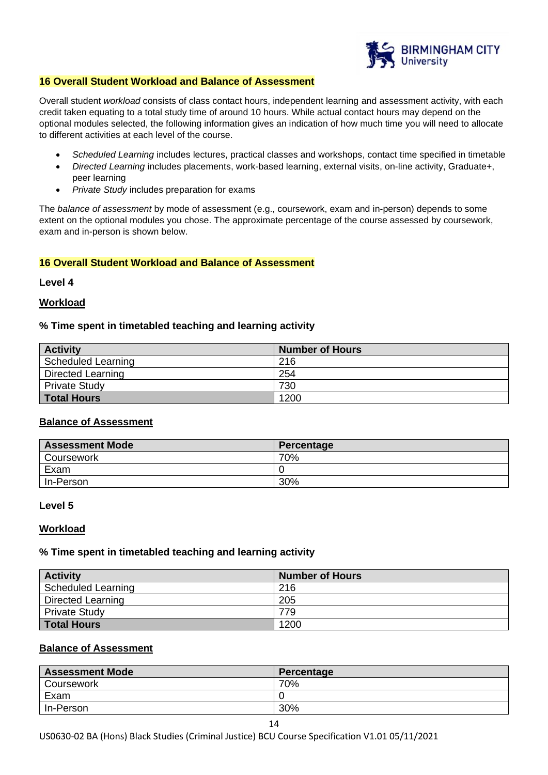

#### **16 Overall Student Workload and Balance of Assessment**

Overall student *workload* consists of class contact hours, independent learning and assessment activity, with each credit taken equating to a total study time of around 10 hours. While actual contact hours may depend on the optional modules selected, the following information gives an indication of how much time you will need to allocate to different activities at each level of the course.

- *Scheduled Learning* includes lectures, practical classes and workshops, contact time specified in timetable
- *Directed Learning* includes placements, work-based learning, external visits, on-line activity, Graduate+, peer learning
- *Private Study* includes preparation for exams

The *balance of assessment* by mode of assessment (e.g., coursework, exam and in-person) depends to some extent on the optional modules you chose. The approximate percentage of the course assessed by coursework, exam and in-person is shown below.

#### **16 Overall Student Workload and Balance of Assessment**

**Level 4**

#### **Workload**

#### **% Time spent in timetabled teaching and learning activity**

| <b>Activity</b>          | <b>Number of Hours</b> |
|--------------------------|------------------------|
| Scheduled Learning       | 216                    |
| <b>Directed Learning</b> | 254                    |
| <b>Private Study</b>     | 730                    |
| <b>Total Hours</b>       | 1200                   |

#### **Balance of Assessment**

| <b>Assessment Mode</b> | Percentage |
|------------------------|------------|
| Coursework             | 70%        |
| Exam                   |            |
| In-Person              | 30%        |

#### **Level 5**

#### **Workload**

#### **% Time spent in timetabled teaching and learning activity**

| <b>Activity</b>          | <b>Number of Hours</b> |
|--------------------------|------------------------|
| Scheduled Learning       | 216                    |
| <b>Directed Learning</b> | 205                    |
| <b>Private Study</b>     | 779                    |
| <b>Total Hours</b>       | 1200                   |

#### **Balance of Assessment**

| <b>Assessment Mode</b> | Percentage |
|------------------------|------------|
| Coursework             | 70%        |
| Exam                   |            |
| In-Person              | 30%        |